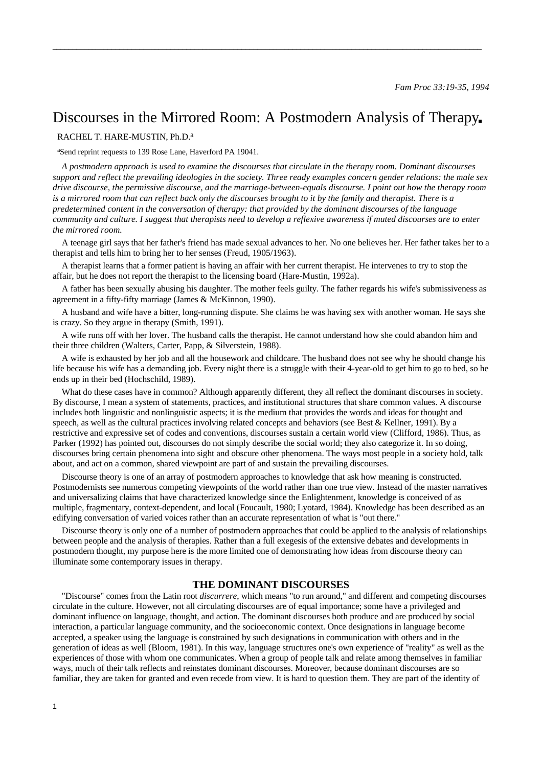# Discourses in the Mirrored Room: A Postmodern Analysis of Therapy

 $\_$  ,  $\_$  ,  $\_$  ,  $\_$  ,  $\_$  ,  $\_$  ,  $\_$  ,  $\_$  ,  $\_$  ,  $\_$  ,  $\_$  ,  $\_$  ,  $\_$  ,  $\_$  ,  $\_$  ,  $\_$  ,  $\_$  ,  $\_$  ,  $\_$  ,  $\_$  ,  $\_$  ,  $\_$  ,  $\_$  ,  $\_$  ,  $\_$  ,  $\_$  ,  $\_$  ,  $\_$  ,  $\_$  ,  $\_$  ,  $\_$  ,  $\_$  ,  $\_$  ,  $\_$  ,  $\_$  ,  $\_$  ,  $\_$  ,

RACHEL T. HARE-MUSTIN, Ph.D.a

<sup>a</sup>Send reprint requests to 139 Rose Lane, Haverford PA 19041.

*A postmodern approach is used to examine the discourses that circulate in the therapy room. Dominant discourses support and reflect the prevailing ideologies in the society. Three ready examples concern gender relations: the male sex drive discourse, the permissive discourse, and the marriage-between-equals discourse. I point out how the therapy room is a mirrored room that can reflect back only the discourses brought to it by the family and therapist. There is a predetermined content in the conversation of therapy: that provided by the dominant discourses of the language community and culture. I suggest that therapists need to develop a reflexive awareness if muted discourses are to enter the mirrored room.*

A teenage girl says that her father's friend has made sexual advances to her. No one believes her. Her father takes her to a therapist and tells him to bring her to her senses (Freud, 1905/1963).

A therapist learns that a former patient is having an affair with her current therapist. He intervenes to try to stop the affair, but he does not report the therapist to the licensing board (Hare-Mustin, 1992a).

A father has been sexually abusing his daughter. The mother feels guilty. The father regards his wife's submissiveness as agreement in a fifty-fifty marriage (James & McKinnon, 1990).

A husband and wife have a bitter, long-running dispute. She claims he was having sex with another woman. He says she is crazy. So they argue in therapy (Smith, 1991).

A wife runs off with her lover. The husband calls the therapist. He cannot understand how she could abandon him and their three children (Walters, Carter, Papp, & Silverstein, 1988).

A wife is exhausted by her job and all the housework and childcare. The husband does not see why he should change his life because his wife has a demanding job. Every night there is a struggle with their 4-year-old to get him to go to bed, so he ends up in their bed (Hochschild, 1989).

What do these cases have in common? Although apparently different, they all reflect the dominant discourses in society. By discourse, I mean a system of statements, practices, and institutional structures that share common values. A discourse includes both linguistic and nonlinguistic aspects; it is the medium that provides the words and ideas for thought and speech, as well as the cultural practices involving related concepts and behaviors (see Best & Kellner, 1991). By a restrictive and expressive set of codes and conventions, discourses sustain a certain world view (Clifford, 1986). Thus, as Parker (1992) has pointed out, discourses do not simply describe the social world; they also categorize it. In so doing, discourses bring certain phenomena into sight and obscure other phenomena. The ways most people in a society hold, talk about, and act on a common, shared viewpoint are part of and sustain the prevailing discourses.

Discourse theory is one of an array of postmodern approaches to knowledge that ask how meaning is constructed. Postmodernists see numerous competing viewpoints of the world rather than one true view. Instead of the master narratives and universalizing claims that have characterized knowledge since the Enlightenment, knowledge is conceived of as multiple, fragmentary, context-dependent, and local (Foucault, 1980; Lyotard, 1984). Knowledge has been described as an edifying conversation of varied voices rather than an accurate representation of what is "out there."

Discourse theory is only one of a number of postmodern approaches that could be applied to the analysis of relationships between people and the analysis of therapies. Rather than a full exegesis of the extensive debates and developments in postmodern thought, my purpose here is the more limited one of demonstrating how ideas from discourse theory can illuminate some contemporary issues in therapy.

# **THE DOMINANT DISCOURSES**

"Discourse" comes from the Latin root *discurrere*, which means "to run around," and different and competing discourses circulate in the culture. However, not all circulating discourses are of equal importance; some have a privileged and dominant influence on language, thought, and action. The dominant discourses both produce and are produced by social interaction, a particular language community, and the socioeconomic context. Once designations in language become accepted, a speaker using the language is constrained by such designations in communication with others and in the generation of ideas as well (Bloom, 1981). In this way, language structures one's own experience of "reality" as well as the experiences of those with whom one communicates. When a group of people talk and relate among themselves in familiar ways, much of their talk reflects and reinstates dominant discourses. Moreover, because dominant discourses are so familiar, they are taken for granted and even recede from view. It is hard to question them. They are part of the identity of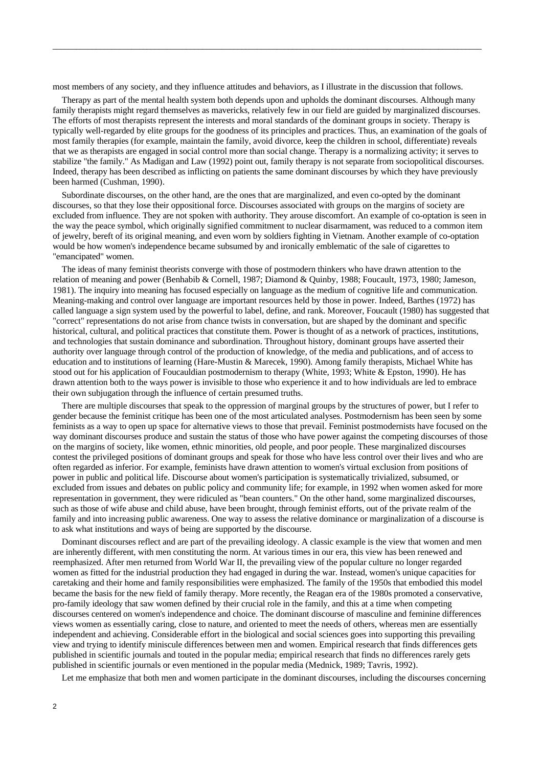most members of any society, and they influence attitudes and behaviors, as I illustrate in the discussion that follows.

 $\_$  ,  $\_$  ,  $\_$  ,  $\_$  ,  $\_$  ,  $\_$  ,  $\_$  ,  $\_$  ,  $\_$  ,  $\_$  ,  $\_$  ,  $\_$  ,  $\_$  ,  $\_$  ,  $\_$  ,  $\_$  ,  $\_$  ,  $\_$  ,  $\_$  ,  $\_$  ,  $\_$  ,  $\_$  ,  $\_$  ,  $\_$  ,  $\_$  ,  $\_$  ,  $\_$  ,  $\_$  ,  $\_$  ,  $\_$  ,  $\_$  ,  $\_$  ,  $\_$  ,  $\_$  ,  $\_$  ,  $\_$  ,  $\_$  ,

Therapy as part of the mental health system both depends upon and upholds the dominant discourses. Although many family therapists might regard themselves as mavericks, relatively few in our field are guided by marginalized discourses. The efforts of most therapists represent the interests and moral standards of the dominant groups in society. Therapy is typically well-regarded by elite groups for the goodness of its principles and practices. Thus, an examination of the goals of most family therapies (for example, maintain the family, avoid divorce, keep the children in school, differentiate) reveals that we as therapists are engaged in social control more than social change. Therapy is a normalizing activity; it serves to stabilize "the family." As Madigan and Law (1992) point out, family therapy is not separate from sociopolitical discourses. Indeed, therapy has been described as inflicting on patients the same dominant discourses by which they have previously been harmed (Cushman, 1990).

Subordinate discourses, on the other hand, are the ones that are marginalized, and even co-opted by the dominant discourses, so that they lose their oppositional force. Discourses associated with groups on the margins of society are excluded from influence. They are not spoken with authority. They arouse discomfort. An example of co-optation is seen in the way the peace symbol, which originally signified commitment to nuclear disarmament, was reduced to a common item of jewelry, bereft of its original meaning, and even worn by soldiers fighting in Vietnam. Another example of co-optation would be how women's independence became subsumed by and ironically emblematic of the sale of cigarettes to "emancipated" women.

The ideas of many feminist theorists converge with those of postmodern thinkers who have drawn attention to the relation of meaning and power (Benhabib & Cornell, 1987; Diamond & Quinby, 1988; Foucault, 1973, 1980; Jameson, 1981). The inquiry into meaning has focused especially on language as the medium of cognitive life and communication. Meaning-making and control over language are important resources held by those in power. Indeed, Barthes (1972) has called language a sign system used by the powerful to label, define, and rank. Moreover, Foucault (1980) has suggested that "correct" representations do not arise from chance twists in conversation, but are shaped by the dominant and specific historical, cultural, and political practices that constitute them. Power is thought of as a network of practices, institutions, and technologies that sustain dominance and subordination. Throughout history, dominant groups have asserted their authority over language through control of the production of knowledge, of the media and publications, and of access to education and to institutions of learning (Hare-Mustin & Marecek, 1990). Among family therapists, Michael White has stood out for his application of Foucauldian postmodernism to therapy (White, 1993; White & Epston, 1990). He has drawn attention both to the ways power is invisible to those who experience it and to how individuals are led to embrace their own subjugation through the influence of certain presumed truths.

There are multiple discourses that speak to the oppression of marginal groups by the structures of power, but I refer to gender because the feminist critique has been one of the most articulated analyses. Postmodernism has been seen by some feminists as a way to open up space for alternative views to those that prevail. Feminist postmodernists have focused on the way dominant discourses produce and sustain the status of those who have power against the competing discourses of those on the margins of society, like women, ethnic minorities, old people, and poor people. These marginalized discourses contest the privileged positions of dominant groups and speak for those who have less control over their lives and who are often regarded as inferior. For example, feminists have drawn attention to women's virtual exclusion from positions of power in public and political life. Discourse about women's participation is systematically trivialized, subsumed, or excluded from issues and debates on public policy and community life; for example, in 1992 when women asked for more representation in government, they were ridiculed as "bean counters." On the other hand, some marginalized discourses, such as those of wife abuse and child abuse, have been brought, through feminist efforts, out of the private realm of the family and into increasing public awareness. One way to assess the relative dominance or marginalization of a discourse is to ask what institutions and ways of being are supported by the discourse.

Dominant discourses reflect and are part of the prevailing ideology. A classic example is the view that women and men are inherently different, with men constituting the norm. At various times in our era, this view has been renewed and reemphasized. After men returned from World War II, the prevailing view of the popular culture no longer regarded women as fitted for the industrial production they had engaged in during the war. Instead, women's unique capacities for caretaking and their home and family responsibilities were emphasized. The family of the 1950s that embodied this model became the basis for the new field of family therapy. More recently, the Reagan era of the 1980s promoted a conservative, pro-family ideology that saw women defined by their crucial role in the family, and this at a time when competing discourses centered on women's independence and choice. The dominant discourse of masculine and feminine differences views women as essentially caring, close to nature, and oriented to meet the needs of others, whereas men are essentially independent and achieving. Considerable effort in the biological and social sciences goes into supporting this prevailing view and trying to identify miniscule differences between men and women. Empirical research that finds differences gets published in scientific journals and touted in the popular media; empirical research that finds no differences rarely gets published in scientific journals or even mentioned in the popular media (Mednick, 1989; Tavris, 1992).

Let me emphasize that both men and women participate in the dominant discourses, including the discourses concerning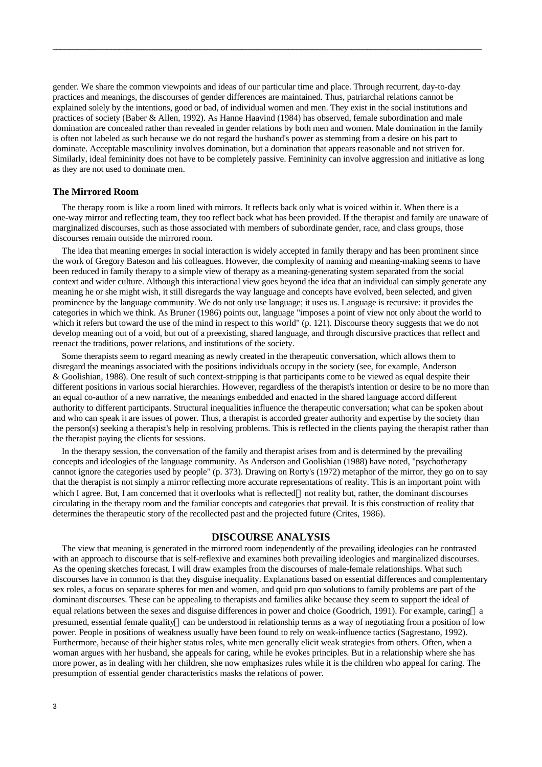gender. We share the common viewpoints and ideas of our particular time and place. Through recurrent, day-to-day practices and meanings, the discourses of gender differences are maintained. Thus, patriarchal relations cannot be explained solely by the intentions, good or bad, of individual women and men. They exist in the social institutions and practices of society (Baber & Allen, 1992). As Hanne Haavind (1984) has observed, female subordination and male domination are concealed rather than revealed in gender relations by both men and women. Male domination in the family is often not labeled as such because we do not regard the husband's power as stemming from a desire on his part to dominate. Acceptable masculinity involves domination, but a domination that appears reasonable and not striven for. Similarly, ideal femininity does not have to be completely passive. Femininity can involve aggression and initiative as long as they are not used to dominate men.

 $\_$  ,  $\_$  ,  $\_$  ,  $\_$  ,  $\_$  ,  $\_$  ,  $\_$  ,  $\_$  ,  $\_$  ,  $\_$  ,  $\_$  ,  $\_$  ,  $\_$  ,  $\_$  ,  $\_$  ,  $\_$  ,  $\_$  ,  $\_$  ,  $\_$  ,  $\_$  ,  $\_$  ,  $\_$  ,  $\_$  ,  $\_$  ,  $\_$  ,  $\_$  ,  $\_$  ,  $\_$  ,  $\_$  ,  $\_$  ,  $\_$  ,  $\_$  ,  $\_$  ,  $\_$  ,  $\_$  ,  $\_$  ,  $\_$  ,

# **The Mirrored Room**

The therapy room is like a room lined with mirrors. It reflects back only what is voiced within it. When there is a one-way mirror and reflecting team, they too reflect back what has been provided. If the therapist and family are unaware of marginalized discourses, such as those associated with members of subordinate gender, race, and class groups, those discourses remain outside the mirrored room.

The idea that meaning emerges in social interaction is widely accepted in family therapy and has been prominent since the work of Gregory Bateson and his colleagues. However, the complexity of naming and meaning-making seems to have been reduced in family therapy to a simple view of therapy as a meaning-generating system separated from the social context and wider culture. Although this interactional view goes beyond the idea that an individual can simply generate any meaning he or she might wish, it still disregards the way language and concepts have evolved, been selected, and given prominence by the language community. We do not only use language; it uses us. Language is recursive: it provides the categories in which we think. As Bruner (1986) points out, language "imposes a point of view not only about the world to which it refers but toward the use of the mind in respect to this world" (p. 121). Discourse theory suggests that we do not develop meaning out of a void, but out of a preexisting, shared language, and through discursive practices that reflect and reenact the traditions, power relations, and institutions of the society.

Some therapists seem to regard meaning as newly created in the therapeutic conversation, which allows them to disregard the meanings associated with the positions individuals occupy in the society (see, for example, Anderson & Goolishian, 1988). One result of such context-stripping is that participants come to be viewed as equal despite their different positions in various social hierarchies. However, regardless of the therapist's intention or desire to be no more than an equal co-author of a new narrative, the meanings embedded and enacted in the shared language accord different authority to different participants. Structural inequalities influence the therapeutic conversation; what can be spoken about and who can speak it are issues of power. Thus, a therapist is accorded greater authority and expertise by the society than the person(s) seeking a therapist's help in resolving problems. This is reflected in the clients paying the therapist rather than the therapist paying the clients for sessions.

In the therapy session, the conversation of the family and therapist arises from and is determined by the prevailing concepts and ideologies of the language community. As Anderson and Goolishian (1988) have noted, "psychotherapy cannot ignore the categories used by people" (p. 373). Drawing on Rorty's (1972) metaphor of the mirror, they go on to say that the therapist is not simply a mirror reflecting more accurate representations of reality. This is an important point with which I agree. But, I am concerned that it overlooks what is reflected—not reality but, rather, the dominant discourses circulating in the therapy room and the familiar concepts and categories that prevail. It is this construction of reality that determines the therapeutic story of the recollected past and the projected future (Crites, 1986).

### **DISCOURSE ANALYSIS**

The view that meaning is generated in the mirrored room independently of the prevailing ideologies can be contrasted with an approach to discourse that is self-reflexive and examines both prevailing ideologies and marginalized discourses. As the opening sketches forecast, I will draw examples from the discourses of male-female relationships. What such discourses have in common is that they disguise inequality. Explanations based on essential differences and complementary sex roles, a focus on separate spheres for men and women, and quid pro quo solutions to family problems are part of the dominant discourses. These can be appealing to therapists and families alike because they seem to support the ideal of equal relations between the sexes and disguise differences in power and choice (Goodrich, 1991). For example, caring—a presumed, essential female quality—can be understood in relationship terms as a way of negotiating from a position of low power. People in positions of weakness usually have been found to rely on weak-influence tactics (Sagrestano, 1992). Furthermore, because of their higher status roles, white men generally elicit weak strategies from others. Often, when a woman argues with her husband, she appeals for caring, while he evokes principles. But in a relationship where she has more power, as in dealing with her children, she now emphasizes rules while it is the children who appeal for caring. The presumption of essential gender characteristics masks the relations of power.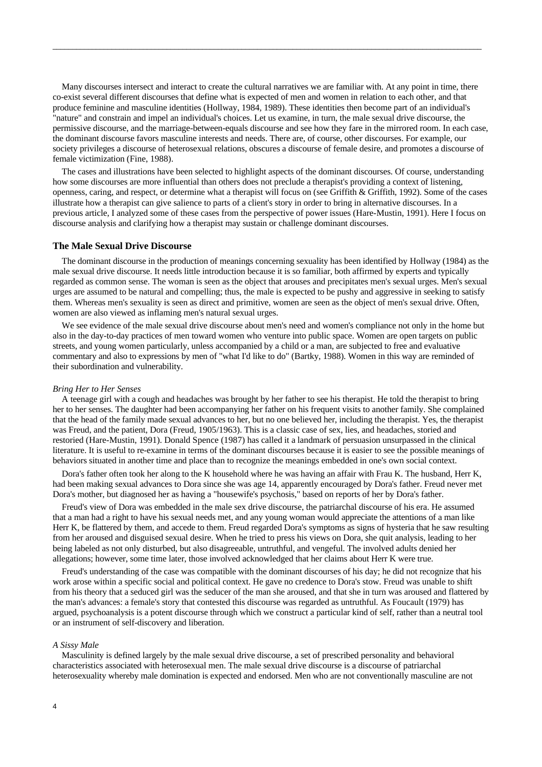Many discourses intersect and interact to create the cultural narratives we are familiar with. At any point in time, there co-exist several different discourses that define what is expected of men and women in relation to each other, and that produce feminine and masculine identities (Hollway, 1984, 1989). These identities then become part of an individual's "nature" and constrain and impel an individual's choices. Let us examine, in turn, the male sexual drive discourse, the permissive discourse, and the marriage-between-equals discourse and see how they fare in the mirrored room. In each case, the dominant discourse favors masculine interests and needs. There are, of course, other discourses. For example, our society privileges a discourse of heterosexual relations, obscures a discourse of female desire, and promotes a discourse of female victimization (Fine, 1988).

 $\_$  ,  $\_$  ,  $\_$  ,  $\_$  ,  $\_$  ,  $\_$  ,  $\_$  ,  $\_$  ,  $\_$  ,  $\_$  ,  $\_$  ,  $\_$  ,  $\_$  ,  $\_$  ,  $\_$  ,  $\_$  ,  $\_$  ,  $\_$  ,  $\_$  ,  $\_$  ,  $\_$  ,  $\_$  ,  $\_$  ,  $\_$  ,  $\_$  ,  $\_$  ,  $\_$  ,  $\_$  ,  $\_$  ,  $\_$  ,  $\_$  ,  $\_$  ,  $\_$  ,  $\_$  ,  $\_$  ,  $\_$  ,  $\_$  ,

The cases and illustrations have been selected to highlight aspects of the dominant discourses. Of course, understanding how some discourses are more influential than others does not preclude a therapist's providing a context of listening, openness, caring, and respect, or determine what a therapist will focus on (see Griffith & Griffith, 1992). Some of the cases illustrate how a therapist can give salience to parts of a client's story in order to bring in alternative discourses. In a previous article, I analyzed some of these cases from the perspective of power issues (Hare-Mustin, 1991). Here I focus on discourse analysis and clarifying how a therapist may sustain or challenge dominant discourses.

# **The Male Sexual Drive Discourse**

The dominant discourse in the production of meanings concerning sexuality has been identified by Hollway (1984) as the male sexual drive discourse. It needs little introduction because it is so familiar, both affirmed by experts and typically regarded as common sense. The woman is seen as the object that arouses and precipitates men's sexual urges. Men's sexual urges are assumed to be natural and compelling; thus, the male is expected to be pushy and aggressive in seeking to satisfy them. Whereas men's sexuality is seen as direct and primitive, women are seen as the object of men's sexual drive. Often, women are also viewed as inflaming men's natural sexual urges.

We see evidence of the male sexual drive discourse about men's need and women's compliance not only in the home but also in the day-to-day practices of men toward women who venture into public space. Women are open targets on public streets, and young women particularly, unless accompanied by a child or a man, are subjected to free and evaluative commentary and also to expressions by men of "what I'd like to do" (Bartky, 1988). Women in this way are reminded of their subordination and vulnerability.

#### *Bring Her to Her Senses*

A teenage girl with a cough and headaches was brought by her father to see his therapist. He told the therapist to bring her to her senses. The daughter had been accompanying her father on his frequent visits to another family. She complained that the head of the family made sexual advances to her, but no one believed her, including the therapist. Yes, the therapist was Freud, and the patient, Dora (Freud, 1905/1963). This is a classic case of sex, lies, and headaches, storied and restoried (Hare-Mustin, 1991). Donald Spence (1987) has called it a landmark of persuasion unsurpassed in the clinical literature. It is useful to re-examine in terms of the dominant discourses because it is easier to see the possible meanings of behaviors situated in another time and place than to recognize the meanings embedded in one's own social context.

Dora's father often took her along to the K household where he was having an affair with Frau K. The husband, Herr K, had been making sexual advances to Dora since she was age 14, apparently encouraged by Dora's father. Freud never met Dora's mother, but diagnosed her as having a "housewife's psychosis," based on reports of her by Dora's father.

Freud's view of Dora was embedded in the male sex drive discourse, the patriarchal discourse of his era. He assumed that a man had a right to have his sexual needs met, and any young woman would appreciate the attentions of a man like Herr K, be flattered by them, and accede to them. Freud regarded Dora's symptoms as signs of hysteria that he saw resulting from her aroused and disguised sexual desire. When he tried to press his views on Dora, she quit analysis, leading to her being labeled as not only disturbed, but also disagreeable, untruthful, and vengeful. The involved adults denied her allegations; however, some time later, those involved acknowledged that her claims about Herr K were true.

Freud's understanding of the case was compatible with the dominant discourses of his day; he did not recognize that his work arose within a specific social and political context. He gave no credence to Dora's stow. Freud was unable to shift from his theory that a seduced girl was the seducer of the man she aroused, and that she in turn was aroused and flattered by the man's advances: a female's story that contested this discourse was regarded as untruthful. As Foucault (1979) has argued, psychoanalysis is a potent discourse through which we construct a particular kind of self, rather than a neutral tool or an instrument of self-discovery and liberation.

#### *A Sissy Male*

Masculinity is defined largely by the male sexual drive discourse, a set of prescribed personality and behavioral characteristics associated with heterosexual men. The male sexual drive discourse is a discourse of patriarchal heterosexuality whereby male domination is expected and endorsed. Men who are not conventionally masculine are not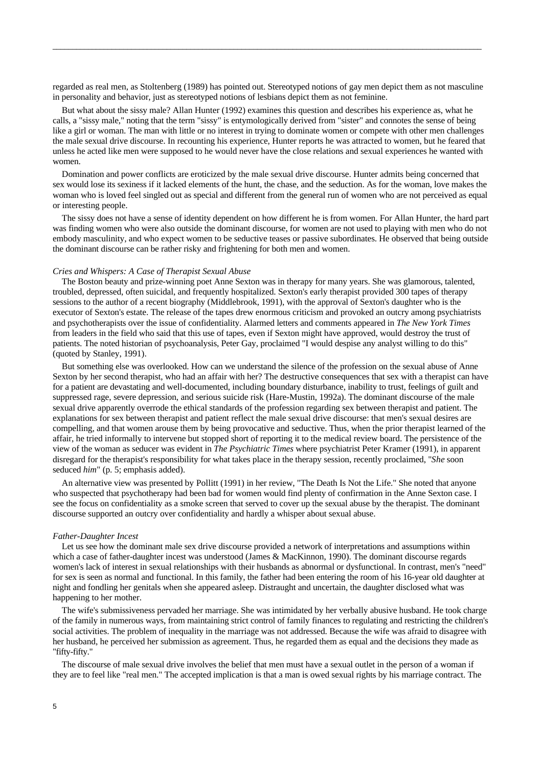regarded as real men, as Stoltenberg (1989) has pointed out. Stereotyped notions of gay men depict them as not masculine in personality and behavior, just as stereotyped notions of lesbians depict them as not feminine.

 $\_$  ,  $\_$  ,  $\_$  ,  $\_$  ,  $\_$  ,  $\_$  ,  $\_$  ,  $\_$  ,  $\_$  ,  $\_$  ,  $\_$  ,  $\_$  ,  $\_$  ,  $\_$  ,  $\_$  ,  $\_$  ,  $\_$  ,  $\_$  ,  $\_$  ,  $\_$  ,  $\_$  ,  $\_$  ,  $\_$  ,  $\_$  ,  $\_$  ,  $\_$  ,  $\_$  ,  $\_$  ,  $\_$  ,  $\_$  ,  $\_$  ,  $\_$  ,  $\_$  ,  $\_$  ,  $\_$  ,  $\_$  ,  $\_$  ,

But what about the sissy male? Allan Hunter (1992) examines this question and describes his experience as, what he calls, a "sissy male," noting that the term "sissy" is entymologically derived from "sister" and connotes the sense of being like a girl or woman. The man with little or no interest in trying to dominate women or compete with other men challenges the male sexual drive discourse. In recounting his experience, Hunter reports he was attracted to women, but he feared that unless he acted like men were supposed to he would never have the close relations and sexual experiences he wanted with women.

Domination and power conflicts are eroticized by the male sexual drive discourse. Hunter admits being concerned that sex would lose its sexiness if it lacked elements of the hunt, the chase, and the seduction. As for the woman, love makes the woman who is loved feel singled out as special and different from the general run of women who are not perceived as equal or interesting people.

The sissy does not have a sense of identity dependent on how different he is from women. For Allan Hunter, the hard part was finding women who were also outside the dominant discourse, for women are not used to playing with men who do not embody masculinity, and who expect women to be seductive teases or passive subordinates. He observed that being outside the dominant discourse can be rather risky and frightening for both men and women.

#### *Cries and Whispers: A Case of Therapist Sexual Abuse*

The Boston beauty and prize-winning poet Anne Sexton was in therapy for many years. She was glamorous, talented, troubled, depressed, often suicidal, and frequently hospitalized. Sexton's early therapist provided 300 tapes of therapy sessions to the author of a recent biography (Middlebrook, 1991), with the approval of Sexton's daughter who is the executor of Sexton's estate. The release of the tapes drew enormous criticism and provoked an outcry among psychiatrists and psychotherapists over the issue of confidentiality. Alarmed letters and comments appeared in *The New York Times* from leaders in the field who said that this use of tapes, even if Sexton might have approved, would destroy the trust of patients. The noted historian of psychoanalysis, Peter Gay, proclaimed "I would despise any analyst willing to do this" (quoted by Stanley, 1991).

But something else was overlooked. How can we understand the silence of the profession on the sexual abuse of Anne Sexton by her second therapist, who had an affair with her? The destructive consequences that sex with a therapist can have for a patient are devastating and well-documented, including boundary disturbance, inability to trust, feelings of guilt and suppressed rage, severe depression, and serious suicide risk (Hare-Mustin, 1992a). The dominant discourse of the male sexual drive apparently overrode the ethical standards of the profession regarding sex between therapist and patient. The explanations for sex between therapist and patient reflect the male sexual drive discourse: that men's sexual desires are compelling, and that women arouse them by being provocative and seductive. Thus, when the prior therapist learned of the affair, he tried informally to intervene but stopped short of reporting it to the medical review board. The persistence of the view of the woman as seducer was evident in *The Psychiatric Times* where psychiatrist Peter Kramer (1991), in apparent disregard for the therapist's responsibility for what takes place in the therapy session, recently proclaimed, "*She* soon seduced *him*" (p. 5; emphasis added).

An alternative view was presented by Pollitt (1991) in her review, "The Death Is Not the Life." She noted that anyone who suspected that psychotherapy had been bad for women would find plenty of confirmation in the Anne Sexton case. I see the focus on confidentiality as a smoke screen that served to cover up the sexual abuse by the therapist. The dominant discourse supported an outcry over confidentiality and hardly a whisper about sexual abuse.

#### *Father-Daughter Incest*

Let us see how the dominant male sex drive discourse provided a network of interpretations and assumptions within which a case of father-daughter incest was understood (James & MacKinnon, 1990). The dominant discourse regards women's lack of interest in sexual relationships with their husbands as abnormal or dysfunctional. In contrast, men's "need" for sex is seen as normal and functional. In this family, the father had been entering the room of his 16-year old daughter at night and fondling her genitals when she appeared asleep. Distraught and uncertain, the daughter disclosed what was happening to her mother.

The wife's submissiveness pervaded her marriage. She was intimidated by her verbally abusive husband. He took charge of the family in numerous ways, from maintaining strict control of family finances to regulating and restricting the children's social activities. The problem of inequality in the marriage was not addressed. Because the wife was afraid to disagree with her husband, he perceived her submission as agreement. Thus, he regarded them as equal and the decisions they made as "fifty-fifty."

The discourse of male sexual drive involves the belief that men must have a sexual outlet in the person of a woman if they are to feel like "real men." The accepted implication is that a man is owed sexual rights by his marriage contract. The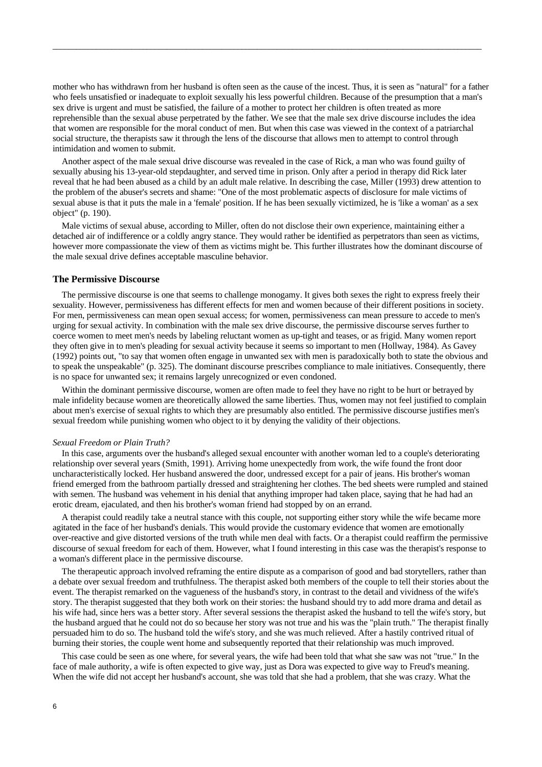mother who has withdrawn from her husband is often seen as the cause of the incest. Thus, it is seen as "natural" for a father who feels unsatisfied or inadequate to exploit sexually his less powerful children. Because of the presumption that a man's sex drive is urgent and must be satisfied, the failure of a mother to protect her children is often treated as more reprehensible than the sexual abuse perpetrated by the father. We see that the male sex drive discourse includes the idea that women are responsible for the moral conduct of men. But when this case was viewed in the context of a patriarchal social structure, the therapists saw it through the lens of the discourse that allows men to attempt to control through intimidation and women to submit.

 $\_$  ,  $\_$  ,  $\_$  ,  $\_$  ,  $\_$  ,  $\_$  ,  $\_$  ,  $\_$  ,  $\_$  ,  $\_$  ,  $\_$  ,  $\_$  ,  $\_$  ,  $\_$  ,  $\_$  ,  $\_$  ,  $\_$  ,  $\_$  ,  $\_$  ,  $\_$  ,  $\_$  ,  $\_$  ,  $\_$  ,  $\_$  ,  $\_$  ,  $\_$  ,  $\_$  ,  $\_$  ,  $\_$  ,  $\_$  ,  $\_$  ,  $\_$  ,  $\_$  ,  $\_$  ,  $\_$  ,  $\_$  ,  $\_$  ,

Another aspect of the male sexual drive discourse was revealed in the case of Rick, a man who was found guilty of sexually abusing his 13-year-old stepdaughter, and served time in prison. Only after a period in therapy did Rick later reveal that he had been abused as a child by an adult male relative. In describing the case, Miller (1993) drew attention to the problem of the abuser's secrets and shame: "One of the most problematic aspects of disclosure for male victims of sexual abuse is that it puts the male in a 'female' position. If he has been sexually victimized, he is 'like a woman' as a sex object" (p. 190).

Male victims of sexual abuse, according to Miller, often do not disclose their own experience, maintaining either a detached air of indifference or a coldly angry stance. They would rather be identified as perpetrators than seen as victims, however more compassionate the view of them as victims might be. This further illustrates how the dominant discourse of the male sexual drive defines acceptable masculine behavior.

### **The Permissive Discourse**

The permissive discourse is one that seems to challenge monogamy. It gives both sexes the right to express freely their sexuality. However, permissiveness has different effects for men and women because of their different positions in society. For men, permissiveness can mean open sexual access; for women, permissiveness can mean pressure to accede to men's urging for sexual activity. In combination with the male sex drive discourse, the permissive discourse serves further to coerce women to meet men's needs by labeling reluctant women as up-tight and teases, or as frigid. Many women report they often give in to men's pleading for sexual activity because it seems so important to men (Hollway, 1984). As Gavey (1992) points out, "to say that women often engage in unwanted sex with men is paradoxically both to state the obvious and to speak the unspeakable" (p. 325). The dominant discourse prescribes compliance to male initiatives. Consequently, there is no space for unwanted sex; it remains largely unrecognized or even condoned.

Within the dominant permissive discourse, women are often made to feel they have no right to be hurt or betrayed by male infidelity because women are theoretically allowed the same liberties. Thus, women may not feel justified to complain about men's exercise of sexual rights to which they are presumably also entitled. The permissive discourse justifies men's sexual freedom while punishing women who object to it by denying the validity of their objections.

#### *Sexual Freedom or Plain Truth?*

In this case, arguments over the husband's alleged sexual encounter with another woman led to a couple's deteriorating relationship over several years (Smith, 1991). Arriving home unexpectedly from work, the wife found the front door uncharacteristically locked. Her husband answered the door, undressed except for a pair of jeans. His brother's woman friend emerged from the bathroom partially dressed and straightening her clothes. The bed sheets were rumpled and stained with semen. The husband was vehement in his denial that anything improper had taken place, saying that he had had an erotic dream, ejaculated, and then his brother's woman friend had stopped by on an errand.

A therapist could readily take a neutral stance with this couple, not supporting either story while the wife became more agitated in the face of her husband's denials. This would provide the customary evidence that women are emotionally over-reactive and give distorted versions of the truth while men deal with facts. Or a therapist could reaffirm the permissive discourse of sexual freedom for each of them. However, what I found interesting in this case was the therapist's response to a woman's different place in the permissive discourse.

The therapeutic approach involved reframing the entire dispute as a comparison of good and bad storytellers, rather than a debate over sexual freedom and truthfulness. The therapist asked both members of the couple to tell their stories about the event. The therapist remarked on the vagueness of the husband's story, in contrast to the detail and vividness of the wife's story. The therapist suggested that they both work on their stories: the husband should try to add more drama and detail as his wife had, since hers was a better story. After several sessions the therapist asked the husband to tell the wife's story, but the husband argued that he could not do so because her story was not true and his was the "plain truth." The therapist finally persuaded him to do so. The husband told the wife's story, and she was much relieved. After a hastily contrived ritual of burning their stories, the couple went home and subsequently reported that their relationship was much improved.

This case could be seen as one where, for several years, the wife had been told that what she saw was not "true." In the face of male authority, a wife is often expected to give way, just as Dora was expected to give way to Freud's meaning. When the wife did not accept her husband's account, she was told that she had a problem, that she was crazy. What the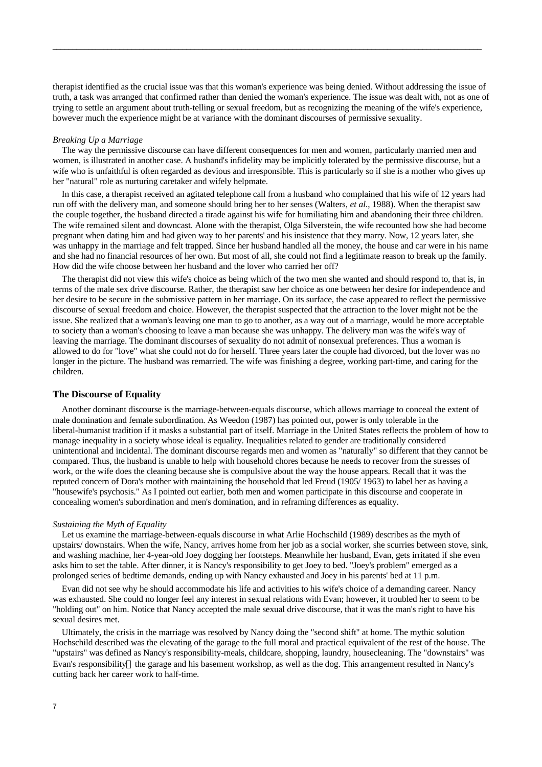therapist identified as the crucial issue was that this woman's experience was being denied. Without addressing the issue of truth, a task was arranged that confirmed rather than denied the woman's experience. The issue was dealt with, not as one of trying to settle an argument about truth-telling or sexual freedom, but as recognizing the meaning of the wife's experience, however much the experience might be at variance with the dominant discourses of permissive sexuality.

 $\_$  ,  $\_$  ,  $\_$  ,  $\_$  ,  $\_$  ,  $\_$  ,  $\_$  ,  $\_$  ,  $\_$  ,  $\_$  ,  $\_$  ,  $\_$  ,  $\_$  ,  $\_$  ,  $\_$  ,  $\_$  ,  $\_$  ,  $\_$  ,  $\_$  ,  $\_$  ,  $\_$  ,  $\_$  ,  $\_$  ,  $\_$  ,  $\_$  ,  $\_$  ,  $\_$  ,  $\_$  ,  $\_$  ,  $\_$  ,  $\_$  ,  $\_$  ,  $\_$  ,  $\_$  ,  $\_$  ,  $\_$  ,  $\_$  ,

#### *Breaking Up a Marriage*

The way the permissive discourse can have different consequences for men and women, particularly married men and women, is illustrated in another case. A husband's infidelity may be implicitly tolerated by the permissive discourse, but a wife who is unfaithful is often regarded as devious and irresponsible. This is particularly so if she is a mother who gives up her "natural" role as nurturing caretaker and wifely helpmate.

In this case, a therapist received an agitated telephone call from a husband who complained that his wife of 12 years had run off with the delivery man, and someone should bring her to her senses (Walters, *et al*., 1988). When the therapist saw the couple together, the husband directed a tirade against his wife for humiliating him and abandoning their three children. The wife remained silent and downcast. Alone with the therapist, Olga Silverstein, the wife recounted how she had become pregnant when dating him and had given way to her parents' and his insistence that they marry. Now, 12 years later, she was unhappy in the marriage and felt trapped. Since her husband handled all the money, the house and car were in his name and she had no financial resources of her own. But most of all, she could not find a legitimate reason to break up the family. How did the wife choose between her husband and the lover who carried her off?

The therapist did not view this wife's choice as being which of the two men she wanted and should respond to, that is, in terms of the male sex drive discourse. Rather, the therapist saw her choice as one between her desire for independence and her desire to be secure in the submissive pattern in her marriage. On its surface, the case appeared to reflect the permissive discourse of sexual freedom and choice. However, the therapist suspected that the attraction to the lover might not be the issue. She realized that a woman's leaving one man to go to another, as a way out of a marriage, would be more acceptable to society than a woman's choosing to leave a man because she was unhappy. The delivery man was the wife's way of leaving the marriage. The dominant discourses of sexuality do not admit of nonsexual preferences. Thus a woman is allowed to do for "love" what she could not do for herself. Three years later the couple had divorced, but the lover was no longer in the picture. The husband was remarried. The wife was finishing a degree, working part-time, and caring for the children.

# **The Discourse of Equality**

Another dominant discourse is the marriage-between-equals discourse, which allows marriage to conceal the extent of male domination and female subordination. As Weedon (1987) has pointed out, power is only tolerable in the liberal-humanist tradition if it masks a substantial part of itself. Marriage in the United States reflects the problem of how to manage inequality in a society whose ideal is equality. Inequalities related to gender are traditionally considered unintentional and incidental. The dominant discourse regards men and women as "naturally" so different that they cannot be compared. Thus, the husband is unable to help with household chores because he needs to recover from the stresses of work, or the wife does the cleaning because she is compulsive about the way the house appears. Recall that it was the reputed concern of Dora's mother with maintaining the household that led Freud (1905/ 1963) to label her as having a "housewife's psychosis." As I pointed out earlier, both men and women participate in this discourse and cooperate in concealing women's subordination and men's domination, and in reframing differences as equality.

#### *Sustaining the Myth of Equality*

Let us examine the marriage-between-equals discourse in what Arlie Hochschild (1989) describes as the myth of upstairs/ downstairs. When the wife, Nancy, arrives home from her job as a social worker, she scurries between stove, sink, and washing machine, her 4-year-old Joey dogging her footsteps. Meanwhile her husband, Evan, gets irritated if she even asks him to set the table. After dinner, it is Nancy's responsibility to get Joey to bed. "Joey's problem" emerged as a prolonged series of bedtime demands, ending up with Nancy exhausted and Joey in his parents' bed at 11 p.m.

Evan did not see why he should accommodate his life and activities to his wife's choice of a demanding career. Nancy was exhausted. She could no longer feel any interest in sexual relations with Evan; however, it troubled her to seem to be "holding out" on him. Notice that Nancy accepted the male sexual drive discourse, that it was the man's right to have his sexual desires met.

Ultimately, the crisis in the marriage was resolved by Nancy doing the "second shift" at home. The mythic solution Hochschild described was the elevating of the garage to the full moral and practical equivalent of the rest of the house. The "upstairs" was defined as Nancy's responsibility-meals, childcare, shopping, laundry, housecleaning. The "downstairs" was Evan's responsibility—the garage and his basement workshop, as well as the dog. This arrangement resulted in Nancy's cutting back her career work to half-time.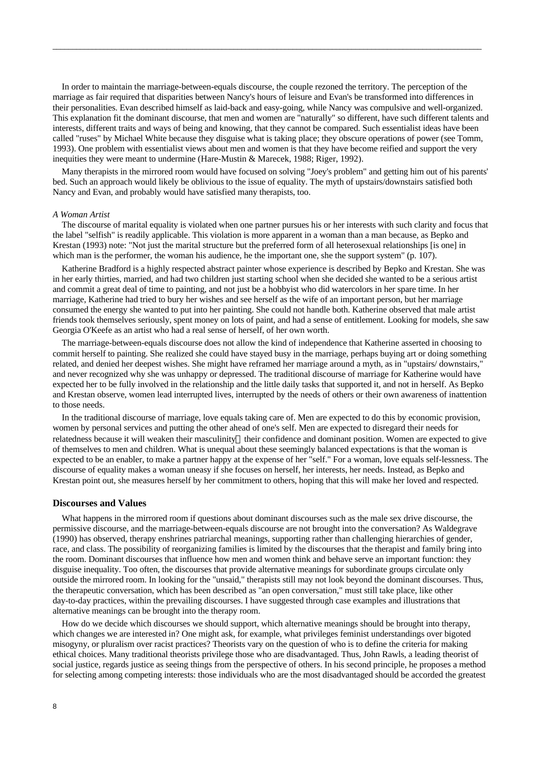In order to maintain the marriage-between-equals discourse, the couple rezoned the territory. The perception of the marriage as fair required that disparities between Nancy's hours of leisure and Evan's be transformed into differences in their personalities. Evan described himself as laid-back and easy-going, while Nancy was compulsive and well-organized. This explanation fit the dominant discourse, that men and women are "naturally" so different, have such different talents and interests, different traits and ways of being and knowing, that they cannot be compared. Such essentialist ideas have been called "ruses" by Michael White because they disguise what is taking place; they obscure operations of power (see Tomm, 1993). One problem with essentialist views about men and women is that they have become reified and support the very inequities they were meant to undermine (Hare-Mustin & Marecek, 1988; Riger, 1992).

 $\_$  ,  $\_$  ,  $\_$  ,  $\_$  ,  $\_$  ,  $\_$  ,  $\_$  ,  $\_$  ,  $\_$  ,  $\_$  ,  $\_$  ,  $\_$  ,  $\_$  ,  $\_$  ,  $\_$  ,  $\_$  ,  $\_$  ,  $\_$  ,  $\_$  ,  $\_$  ,  $\_$  ,  $\_$  ,  $\_$  ,  $\_$  ,  $\_$  ,  $\_$  ,  $\_$  ,  $\_$  ,  $\_$  ,  $\_$  ,  $\_$  ,  $\_$  ,  $\_$  ,  $\_$  ,  $\_$  ,  $\_$  ,  $\_$  ,

Many therapists in the mirrored room would have focused on solving "Joey's problem" and getting him out of his parents' bed. Such an approach would likely be oblivious to the issue of equality. The myth of upstairs/downstairs satisfied both Nancy and Evan, and probably would have satisfied many therapists, too.

# *A Woman Artist*

The discourse of marital equality is violated when one partner pursues his or her interests with such clarity and focus that the label "selfish" is readily applicable. This violation is more apparent in a woman than a man because, as Bepko and Krestan (1993) note: "Not just the marital structure but the preferred form of all heterosexual relationships [is one] in which man is the performer, the woman his audience, he the important one, she the support system" (p. 107).

Katherine Bradford is a highly respected abstract painter whose experience is described by Bepko and Krestan. She was in her early thirties, married, and had two children just starting school when she decided she wanted to be a serious artist and commit a great deal of time to painting, and not just be a hobbyist who did watercolors in her spare time. In her marriage, Katherine had tried to bury her wishes and see herself as the wife of an important person, but her marriage consumed the energy she wanted to put into her painting. She could not handle both. Katherine observed that male artist friends took themselves seriously, spent money on lots of paint, and had a sense of entitlement. Looking for models, she saw Georgia O'Keefe as an artist who had a real sense of herself, of her own worth.

The marriage-between-equals discourse does not allow the kind of independence that Katherine asserted in choosing to commit herself to painting. She realized she could have stayed busy in the marriage, perhaps buying art or doing something related, and denied her deepest wishes. She might have reframed her marriage around a myth, as in "upstairs/ downstairs," and never recognized why she was unhappy or depressed. The traditional discourse of marriage for Katherine would have expected her to be fully involved in the relationship and the little daily tasks that supported it, and not in herself. As Bepko and Krestan observe, women lead interrupted lives, interrupted by the needs of others or their own awareness of inattention to those needs.

In the traditional discourse of marriage, love equals taking care of. Men are expected to do this by economic provision, women by personal services and putting the other ahead of one's self. Men are expected to disregard their needs for relatedness because it will weaken their masculinity—their confidence and dominant position. Women are expected to give of themselves to men and children. What is unequal about these seemingly balanced expectations is that the woman is expected to be an enabler, to make a partner happy at the expense of her "self." For a woman, love equals self-lessness. The discourse of equality makes a woman uneasy if she focuses on herself, her interests, her needs. Instead, as Bepko and Krestan point out, she measures herself by her commitment to others, hoping that this will make her loved and respected.

### **Discourses and Values**

What happens in the mirrored room if questions about dominant discourses such as the male sex drive discourse, the permissive discourse, and the marriage-between-equals discourse are not brought into the conversation? As Waldegrave (1990) has observed, therapy enshrines patriarchal meanings, supporting rather than challenging hierarchies of gender, race, and class. The possibility of reorganizing families is limited by the discourses that the therapist and family bring into the room. Dominant discourses that influence how men and women think and behave serve an important function: they disguise inequality. Too often, the discourses that provide alternative meanings for subordinate groups circulate only outside the mirrored room. In looking for the "unsaid," therapists still may not look beyond the dominant discourses. Thus, the therapeutic conversation, which has been described as "an open conversation," must still take place, like other day-to-day practices, within the prevailing discourses. I have suggested through case examples and illustrations that alternative meanings can be brought into the therapy room.

How do we decide which discourses we should support, which alternative meanings should be brought into therapy, which changes we are interested in? One might ask, for example, what privileges feminist understandings over bigoted misogyny, or pluralism over racist practices? Theorists vary on the question of who is to define the criteria for making ethical choices. Many traditional theorists privilege those who are disadvantaged. Thus, John Rawls, a leading theorist of social justice, regards justice as seeing things from the perspective of others. In his second principle, he proposes a method for selecting among competing interests: those individuals who are the most disadvantaged should be accorded the greatest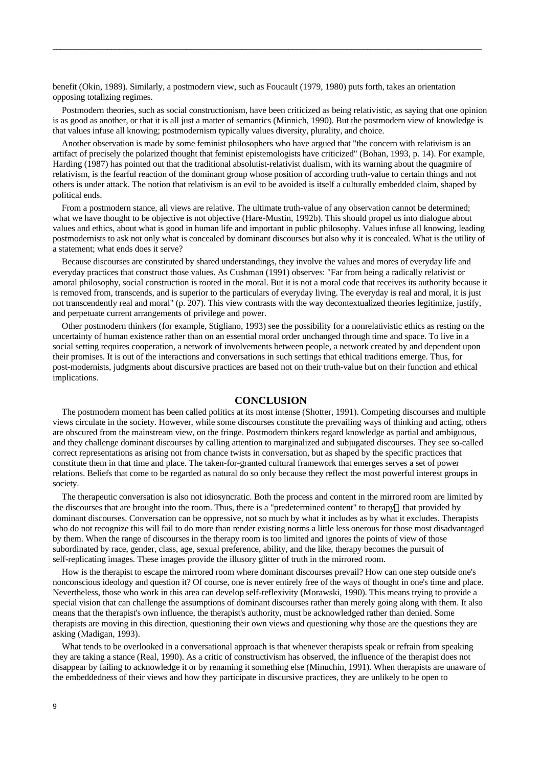benefit (Okin, 1989). Similarly, a postmodern view, such as Foucault (1979, 1980) puts forth, takes an orientation opposing totalizing regimes.

Postmodern theories, such as social constructionism, have been criticized as being relativistic, as saying that one opinion is as good as another, or that it is all just a matter of semantics (Minnich, 1990). But the postmodern view of knowledge is that values infuse all knowing; postmodernism typically values diversity, plurality, and choice.

 $\_$  ,  $\_$  ,  $\_$  ,  $\_$  ,  $\_$  ,  $\_$  ,  $\_$  ,  $\_$  ,  $\_$  ,  $\_$  ,  $\_$  ,  $\_$  ,  $\_$  ,  $\_$  ,  $\_$  ,  $\_$  ,  $\_$  ,  $\_$  ,  $\_$  ,  $\_$  ,  $\_$  ,  $\_$  ,  $\_$  ,  $\_$  ,  $\_$  ,  $\_$  ,  $\_$  ,  $\_$  ,  $\_$  ,  $\_$  ,  $\_$  ,  $\_$  ,  $\_$  ,  $\_$  ,  $\_$  ,  $\_$  ,  $\_$  ,

Another observation is made by some feminist philosophers who have argued that "the concern with relativism is an artifact of precisely the polarized thought that feminist epistemologists have criticized" (Bohan, 1993, p. 14). For example, Harding (1987) has pointed out that the traditional absolutist-relativist dualism, with its warning about the quagmire of relativism, is the fearful reaction of the dominant group whose position of according truth-value to certain things and not others is under attack. The notion that relativism is an evil to be avoided is itself a culturally embedded claim, shaped by political ends.

From a postmodern stance, all views are relative. The ultimate truth-value of any observation cannot be determined; what we have thought to be objective is not objective (Hare-Mustin, 1992b). This should propel us into dialogue about values and ethics, about what is good in human life and important in public philosophy. Values infuse all knowing, leading postmodernists to ask not only what is concealed by dominant discourses but also why it is concealed. What is the utility of a statement; what ends does it serve?

Because discourses are constituted by shared understandings, they involve the values and mores of everyday life and everyday practices that construct those values. As Cushman (1991) observes: "Far from being a radically relativist or amoral philosophy, social construction is rooted in the moral. But it is not a moral code that receives its authority because it is removed from, transcends, and is superior to the particulars of everyday living. The everyday is real and moral, it is just not transcendently real and moral" (p. 207). This view contrasts with the way decontextualized theories legitimize, justify, and perpetuate current arrangements of privilege and power.

Other postmodern thinkers (for example, Stigliano, 1993) see the possibility for a nonrelativistic ethics as resting on the uncertainty of human existence rather than on an essential moral order unchanged through time and space. To live in a social setting requires cooperation, a network of involvements between people, a network created by and dependent upon their promises. It is out of the interactions and conversations in such settings that ethical traditions emerge. Thus, for post-modernists, judgments about discursive practices are based not on their truth-value but on their function and ethical implications.

# **CONCLUSION**

The postmodern moment has been called politics at its most intense (Shotter, 1991). Competing discourses and multiple views circulate in the society. However, while some discourses constitute the prevailing ways of thinking and acting, others are obscured from the mainstream view, on the fringe. Postmodern thinkers regard knowledge as partial and ambiguous, and they challenge dominant discourses by calling attention to marginalized and subjugated discourses. They see so-called correct representations as arising not from chance twists in conversation, but as shaped by the specific practices that constitute them in that time and place. The taken-for-granted cultural framework that emerges serves a set of power relations. Beliefs that come to be regarded as natural do so only because they reflect the most powerful interest groups in society.

The therapeutic conversation is also not idiosyncratic. Both the process and content in the mirrored room are limited by the discourses that are brought into the room. Thus, there is a "predetermined content" to therapy—that provided by dominant discourses. Conversation can be oppressive, not so much by what it includes as by what it excludes. Therapists who do not recognize this will fail to do more than render existing norms a little less onerous for those most disadvantaged by them. When the range of discourses in the therapy room is too limited and ignores the points of view of those subordinated by race, gender, class, age, sexual preference, ability, and the like, therapy becomes the pursuit of self-replicating images. These images provide the illusory glitter of truth in the mirrored room.

How is the therapist to escape the mirrored room where dominant discourses prevail? How can one step outside one's nonconscious ideology and question it? Of course, one is never entirely free of the ways of thought in one's time and place. Nevertheless, those who work in this area can develop self-reflexivity (Morawski, 1990). This means trying to provide a special vision that can challenge the assumptions of dominant discourses rather than merely going along with them. It also means that the therapist's own influence, the therapist's authority, must be acknowledged rather than denied. Some therapists are moving in this direction, questioning their own views and questioning why those are the questions they are asking (Madigan, 1993).

What tends to be overlooked in a conversational approach is that whenever therapists speak or refrain from speaking they are taking a stance (Real, 1990). As a critic of constructivism has observed, the influence of the therapist does not disappear by failing to acknowledge it or by renaming it something else (Minuchin, 1991). When therapists are unaware of the embeddedness of their views and how they participate in discursive practices, they are unlikely to be open to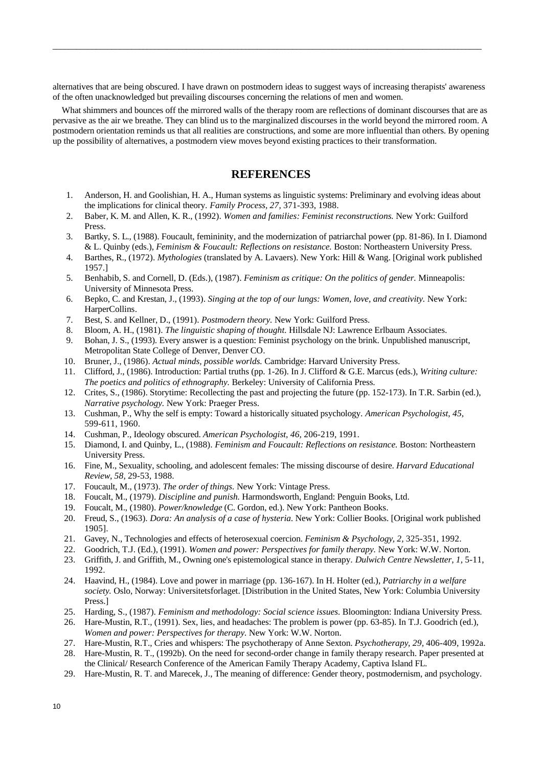alternatives that are being obscured. I have drawn on postmodern ideas to suggest ways of increasing therapists' awareness of the often unacknowledged but prevailing discourses concerning the relations of men and women.

 $\_$  ,  $\_$  ,  $\_$  ,  $\_$  ,  $\_$  ,  $\_$  ,  $\_$  ,  $\_$  ,  $\_$  ,  $\_$  ,  $\_$  ,  $\_$  ,  $\_$  ,  $\_$  ,  $\_$  ,  $\_$  ,  $\_$  ,  $\_$  ,  $\_$  ,  $\_$  ,  $\_$  ,  $\_$  ,  $\_$  ,  $\_$  ,  $\_$  ,  $\_$  ,  $\_$  ,  $\_$  ,  $\_$  ,  $\_$  ,  $\_$  ,  $\_$  ,  $\_$  ,  $\_$  ,  $\_$  ,  $\_$  ,  $\_$  ,

What shimmers and bounces off the mirrored walls of the therapy room are reflections of dominant discourses that are as pervasive as the air we breathe. They can blind us to the marginalized discourses in the world beyond the mirrored room. A postmodern orientation reminds us that all realities are constructions, and some are more influential than others. By opening up the possibility of alternatives, a postmodern view moves beyond existing practices to their transformation.

# **REFERENCES**

- 1. Anderson, H. and Goolishian, H. A., Human systems as linguistic systems: Preliminary and evolving ideas about the implications for clinical theory. *Family Process, 27,* 371-393, 1988.
- 2. Baber, K. M. and Allen, K. R., (1992). *Women and families: Feminist reconstructions.* New York: Guilford Press.
- 3. Bartky, S. L., (1988). Foucault, femininity, and the modernization of patriarchal power (pp. 81-86). In I. Diamond & L. Quinby (eds.), *Feminism & Foucault: Reflections on resistance.* Boston: Northeastern University Press.
- 4. Barthes, R., (1972). *Mythologies* (translated by A. Lavaers). New York: Hill & Wang. [Original work published 1957.]
- 5. Benhabib, S. and Cornell, D. (Eds.), (1987). *Feminism as critique: On the politics of gender.* Minneapolis: University of Minnesota Press.
- 6. Bepko, C. and Krestan, J., (1993). *Singing at the top of our lungs: Women, love, and creativity.* New York: HarperCollins.
- 7. Best, S. and Kellner, D., (1991). *Postmodern theory.* New York: Guilford Press.
- 8. Bloom, A. H., (1981). *The linguistic shaping of thought.* Hillsdale NJ: Lawrence Erlbaum Associates.
- 9. Bohan, J. S., (1993). Every answer is a question: Feminist psychology on the brink. Unpublished manuscript, Metropolitan State College of Denver, Denver CO.
- 10. Bruner, J., (1986). *Actual minds, possible worlds.* Cambridge: Harvard University Press.
- 11. Clifford, J., (1986). Introduction: Partial truths (pp. 1-26). In J. Clifford & G.E. Marcus (eds.), *Writing culture: The poetics and politics of ethnography.* Berkeley: University of California Press.
- 12. Crites, S., (1986). Storytime: Recollecting the past and projecting the future (pp. 152-173). In T.R. Sarbin (ed.), *Narrative psychology.* New York: Praeger Press.
- 13. Cushman, P., Why the self is empty: Toward a historically situated psychology. *American Psychologist, 45,* 599-611, 1960.
- 14. Cushman, P., Ideology obscured. *American Psychologist, 46,* 206-219, 1991.
- 15. Diamond, I. and Quinby, L., (1988). *Feminism and Foucault: Reflections on resistance.* Boston: Northeastern University Press.
- 16. Fine, M., Sexuality, schooling, and adolescent females: The missing discourse of desire. *Harvard Educational Review, 58,* 29-53, 1988.
- 17. Foucault, M., (1973). *The order of things.* New York: Vintage Press.
- 18. Foucalt, M., (1979). *Discipline and punish.* Harmondsworth, England: Penguin Books, Ltd.
- 19. Foucalt, M., (1980). *Power/knowledge* (C. Gordon, ed.). New York: Pantheon Books.
- 20. Freud, S., (1963). *Dora: An analysis of a case of hysteria.* New York: Collier Books. [Original work published 1905].
- 21. Gavey, N., Technologies and effects of heterosexual coercion. *Feminism & Psychology, 2,* 325-351, 1992.
- 22. Goodrich, T.J. (Ed.), (1991). *Women and power: Perspectives for family therapy.* New York: W.W. Norton.
- 23. Griffith, J. and Griffith, M., Owning one's epistemological stance in therapy. *Dulwich Centre Newsletter, 1,* 5-11, 1992.
- 24. Haavind, H., (1984). Love and power in marriage (pp. 136-167). In H. Holter (ed.), *Patriarchy in a welfare society.* Oslo, Norway: Universitetsforlaget. [Distribution in the United States, New York: Columbia University Press.]
- 25. Harding, S., (1987). *Feminism and methodology: Social science issues.* Bloomington: Indiana University Press.
- 26. Hare-Mustin, R.T., (1991). Sex, lies, and headaches: The problem is power (pp. 63-85). In T.J. Goodrich (ed.), *Women and power: Perspectives for therapy.* New York: W.W. Norton.
- 27. Hare-Mustin, R.T., Cries and whispers: The psychotherapy of Anne Sexton. *Psychotherapy, 29,* 406-409, 1992a.
- 28. Hare-Mustin, R. T., (1992b). On the need for second-order change in family therapy research. Paper presented at the Clinical/ Research Conference of the American Family Therapy Academy, Captiva Island FL.
- 29. Hare-Mustin, R. T. and Marecek, J., The meaning of difference: Gender theory, postmodernism, and psychology.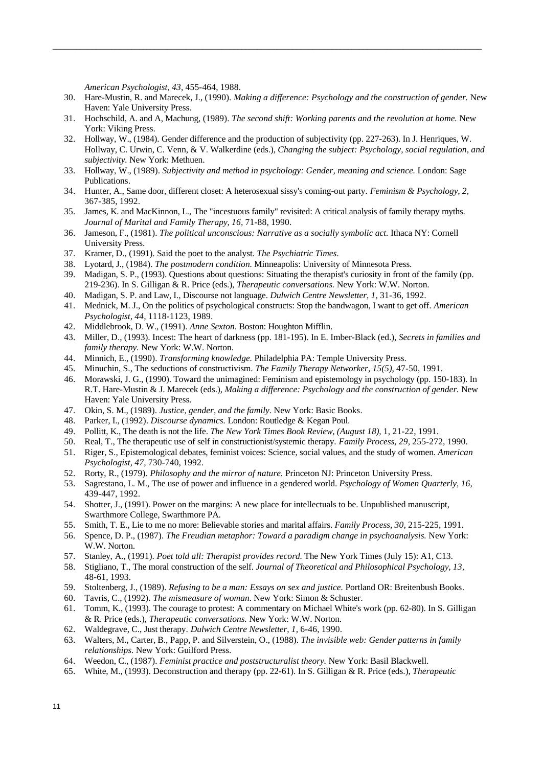*American Psychologist, 43,* 455-464, 1988.

- 30. Hare-Mustin, R. and Marecek, J., (1990). *Making a difference: Psychology and the construction of gender.* New Haven: Yale University Press.
- 31. Hochschild, A. and A, Machung, (1989). *The second shift: Working parents and the revolution at home.* New York: Viking Press.

 $\_$  ,  $\_$  ,  $\_$  ,  $\_$  ,  $\_$  ,  $\_$  ,  $\_$  ,  $\_$  ,  $\_$  ,  $\_$  ,  $\_$  ,  $\_$  ,  $\_$  ,  $\_$  ,  $\_$  ,  $\_$  ,  $\_$  ,  $\_$  ,  $\_$  ,  $\_$  ,  $\_$  ,  $\_$  ,  $\_$  ,  $\_$  ,  $\_$  ,  $\_$  ,  $\_$  ,  $\_$  ,  $\_$  ,  $\_$  ,  $\_$  ,  $\_$  ,  $\_$  ,  $\_$  ,  $\_$  ,  $\_$  ,  $\_$  ,

- 32. Hollway, W., (1984). Gender difference and the production of subjectivity (pp. 227-263). In J. Henriques, W. Hollway, C. Urwin, C. Venn, & V. Walkerdine (eds.), *Changing the subject: Psychology, social regulation, and subjectivity.* New York: Methuen.
- 33. Hollway, W., (1989). *Subjectivity and method in psychology: Gender, meaning and science.* London: Sage Publications.
- 34. Hunter, A., Same door, different closet: A heterosexual sissy's coming-out party. *Feminism & Psychology, 2,* 367-385, 1992.
- 35. James, K. and MacKinnon, L., The "incestuous family" revisited: A critical analysis of family therapy myths. *Journal of Marital and Family Therapy, 16,* 71-88, 1990.
- 36. Jameson, F., (1981). *The political unconscious: Narrative as a socially symbolic act.* Ithaca NY: Cornell University Press.
- 37. Kramer, D., (1991). Said the poet to the analyst. *The Psychiatric Times*.
- 38. Lyotard, J., (1984). *The postmodern condition.* Minneapolis: University of Minnesota Press.
- 39. Madigan, S. P., (1993). Questions about questions: Situating the therapist's curiosity in front of the family (pp. 219-236). In S. Gilligan & R. Price (eds.), *Therapeutic conversations.* New York: W.W. Norton.
- 40. Madigan, S. P. and Law, I., Discourse not language. *Dulwich Centre Newsletter, 1,* 31-36, 1992.
- 41. Mednick, M. J., On the politics of psychological constructs: Stop the bandwagon, I want to get off. *American Psychologist, 44,* 1118-1123, 1989.
- 42. Middlebrook, D. W., (1991). *Anne Sexton.* Boston: Houghton Mifflin.
- 43. Miller, D., (1993). Incest: The heart of darkness (pp. 181-195). In E. Imber-Black (ed.), *Secrets in families and family therapy.* New York: W.W. Norton.
- 44. Minnich, E., (1990). *Transforming knowledge.* Philadelphia PA: Temple University Press.
- 45. Minuchin, S., The seductions of constructivism. *The Family Therapy Networker, 15(5),* 47-50, 1991.
- 46. Morawski, J. G., (1990). Toward the unimagined: Feminism and epistemology in psychology (pp. 150-183). In R.T. Hare-Mustin & J. Marecek (eds.), *Making a difference: Psychology and the construction of gender.* New Haven: Yale University Press.
- 47. Okin, S. M., (1989). *Justice, gender, and the family.* New York: Basic Books.
- 48. Parker, I., (1992). *Discourse dynamics.* London: Routledge & Kegan Poul.
- 49. Pollitt, K., The death is not the life. *The New York Times Book Review, (August 18),* 1, 21-22, 1991.
- 50. Real, T., The therapeutic use of self in constructionist/systemic therapy. *Family Process, 29,* 255-272, 1990.
- 51. Riger, S., Epistemological debates, feminist voices: Science, social values, and the study of women. *American Psychologist, 47,* 730-740, 1992.
- 52. Rorty, R., (1979). *Philosophy and the mirror of nature.* Princeton NJ: Princeton University Press.
- 53. Sagrestano, L. M., The use of power and influence in a gendered world. *Psychology of Women Quarterly, 16,* 439-447, 1992.
- 54. Shotter, J., (1991). Power on the margins: A new place for intellectuals to be. Unpublished manuscript, Swarthmore College, Swarthmore PA.
- 55. Smith, T. E., Lie to me no more: Believable stories and marital affairs. *Family Process, 30,* 215-225, 1991.
- 56. Spence, D. P., (1987). *The Freudian metaphor: Toward a paradigm change in psychoanalysis.* New York: W.W. Norton.
- 57. Stanley, A., (1991). *Poet told all: Therapist provides record.* The New York Times (July 15): A1, C13.
- 58. Stigliano, T., The moral construction of the self. *Journal of Theoretical and Philosophical Psychology, 13,* 48-61, 1993.
- 59. Stoltenberg, J., (1989). *Refusing to be a man: Essays on sex and justice.* Portland OR: Breitenbush Books.
- 60. Tavris, C., (1992). *The mismeasure of woman.* New York: Simon & Schuster.
- 61. Tomm, K., (1993). The courage to protest: A commentary on Michael White's work (pp. 62-80). In S. Gilligan & R. Price (eds.), *Therapeutic conversations.* New York: W.W. Norton.
- 62. Waldegrave, C., Just therapy. *Dulwich Centre Newsletter, 1,* 6-46, 1990.
- 63. Walters, M., Carter, B., Papp, P. and Silverstein, O., (1988). *The invisible web: Gender patterns in family relationships.* New York: Guilford Press.
- 64. Weedon, C., (1987). *Feminist practice and poststructuralist theory.* New York: Basil Blackwell.
- 65. White, M., (1993). Deconstruction and therapy (pp. 22-61). In S. Gilligan & R. Price (eds.), *Therapeutic*